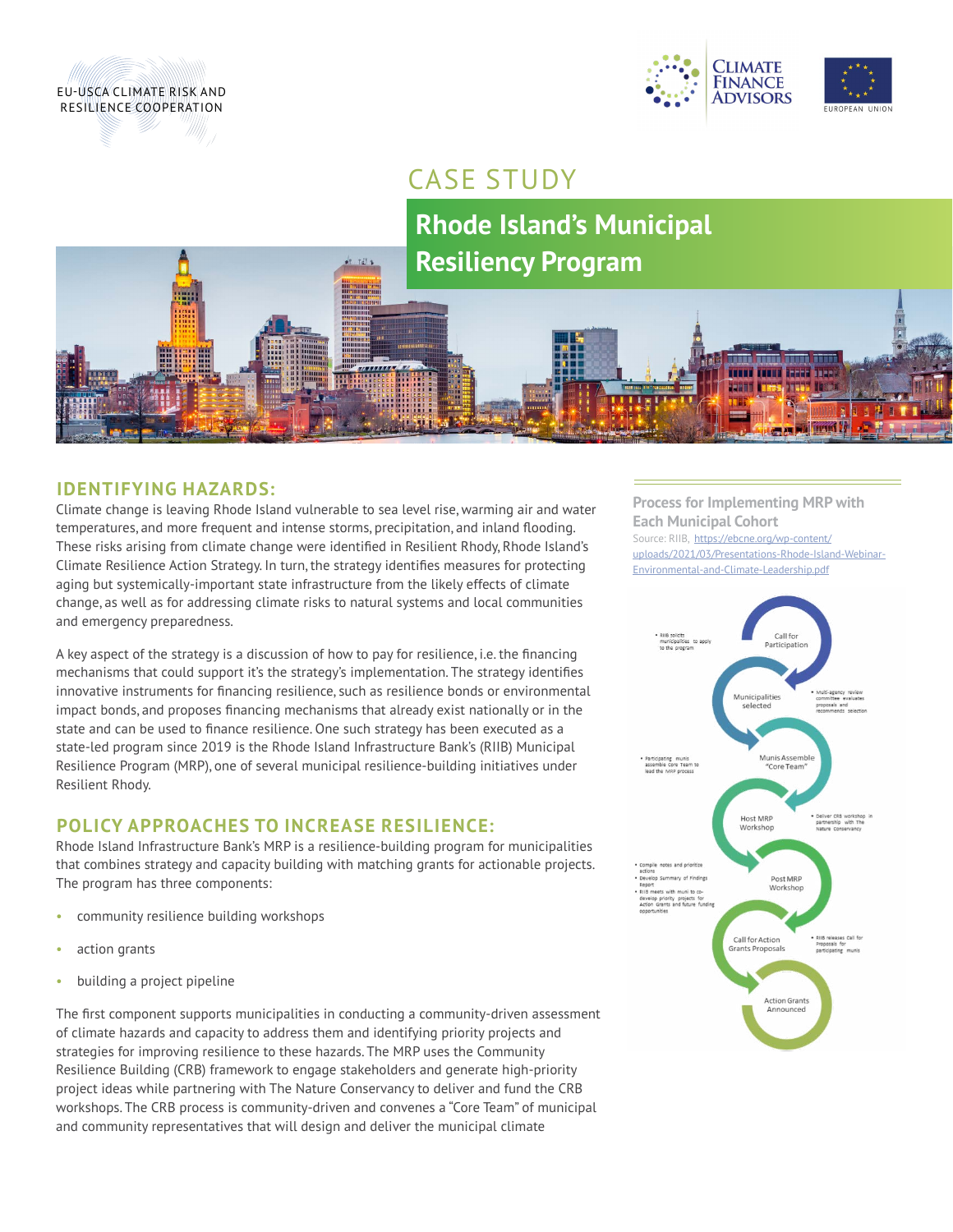



# CASE STUDY

**Rhode Island's Municipal Resiliency Program**

#### **IDENTIFYING HAZARDS:**

Climate change is leaving Rhode Island vulnerable to sea level rise, warming air and water temperatures, and more frequent and intense storms, precipitation, and inland flooding. These risks arising from climate change were identified in Resilient Rhody, Rhode Island's Climate Resilience Action Strategy. In turn, the strategy identifies measures for protecting aging but systemically-important state infrastructure from the likely effects of climate change, as well as for addressing climate risks to natural systems and local communities and emergency preparedness.

A key aspect of the strategy is a discussion of how to pay for resilience, i.e. the financing mechanisms that could support it's the strategy's implementation. The strategy identifies innovative instruments for financing resilience, such as resilience bonds or environmental impact bonds, and proposes financing mechanisms that already exist nationally or in the state and can be used to finance resilience. One such strategy has been executed as a state-led program since 2019 is the Rhode Island Infrastructure Bank's (RIIB) Municipal Resilience Program (MRP), one of several municipal resilience-building initiatives under Resilient Rhody.

## **POLICY APPROACHES TO INCREASE RESILIENCE:**

Rhode Island Infrastructure Bank's MRP is a resilience-building program for municipalities that combines strategy and capacity building with matching grants for actionable projects. The program has three components:

- community resilience building workshops
- action grants
- building a project pipeline

The first component supports municipalities in conducting a community-driven assessment of climate hazards and capacity to address them and identifying priority projects and strategies for improving resilience to these hazards. The MRP uses the Community Resilience Building (CRB) framework to engage stakeholders and generate high-priority project ideas while partnering with The Nature Conservancy to deliver and fund the CRB workshops. The CRB process is community-driven and convenes a "Core Team" of municipal and community representatives that will design and deliver the municipal climate

**Process for Implementing MRP with Each Municipal Cohort**  Source: RIIB, [https://ebcne.org/wp-content/](https://ebcne.org/wp-content/uploads/2021/03/Presentations-Rhode-Island-Webinar-Environmental-and-Climate-Leadership.pdf) [uploads/2021/03/Presentations-Rhode-Island-Webinar-](https://ebcne.org/wp-content/uploads/2021/03/Presentations-Rhode-Island-Webinar-Environmental-and-Climate-Leadership.pdf)[Environmental-and-Climate-Leadership.pdf](https://ebcne.org/wp-content/uploads/2021/03/Presentations-Rhode-Island-Webinar-Environmental-and-Climate-Leadership.pdf)

**TETT TETT** i

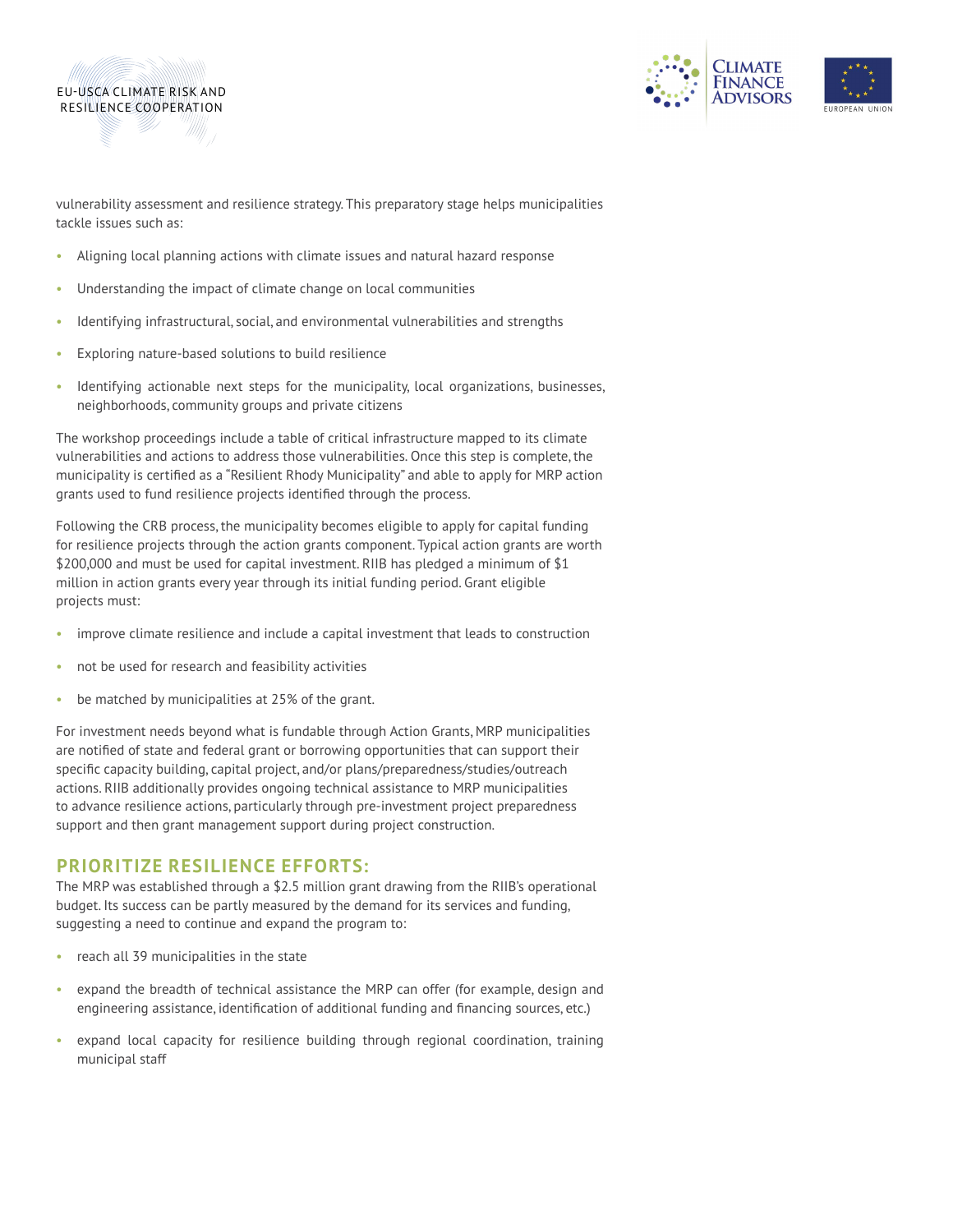



vulnerability assessment and resilience strategy. This preparatory stage helps municipalities tackle issues such as:

- Aligning local planning actions with climate issues and natural hazard response
- Understanding the impact of climate change on local communities
- Identifying infrastructural, social, and environmental vulnerabilities and strengths
- Exploring nature-based solutions to build resilience
- Identifying actionable next steps for the municipality, local organizations, businesses, neighborhoods, community groups and private citizens

The workshop proceedings include a table of critical infrastructure mapped to its climate vulnerabilities and actions to address those vulnerabilities. Once this step is complete, the municipality is certified as a "Resilient Rhody Municipality" and able to apply for MRP action grants used to fund resilience projects identified through the process.

Following the CRB process, the municipality becomes eligible to apply for capital funding for resilience projects through the action grants component. Typical action grants are worth \$200,000 and must be used for capital investment. RIIB has pledged a minimum of \$1 million in action grants every year through its initial funding period. Grant eligible projects must:

- improve climate resilience and include a capital investment that leads to construction
- not be used for research and feasibility activities
- be matched by municipalities at 25% of the grant.

For investment needs beyond what is fundable through Action Grants, MRP municipalities are notified of state and federal grant or borrowing opportunities that can support their specific capacity building, capital project, and/or plans/preparedness/studies/outreach actions. RIIB additionally provides ongoing technical assistance to MRP municipalities to advance resilience actions, particularly through pre-investment project preparedness support and then grant management support during project construction.

## **PRIORITIZE RESILIENCE EFFORTS:**

The MRP was established through a \$2.5 million grant drawing from the RIIB's operational budget. Its success can be partly measured by the demand for its services and funding, suggesting a need to continue and expand the program to:

- reach all 39 municipalities in the state
- expand the breadth of technical assistance the MRP can offer (for example, design and engineering assistance, identification of additional funding and financing sources, etc.)
- expand local capacity for resilience building through regional coordination, training municipal staff